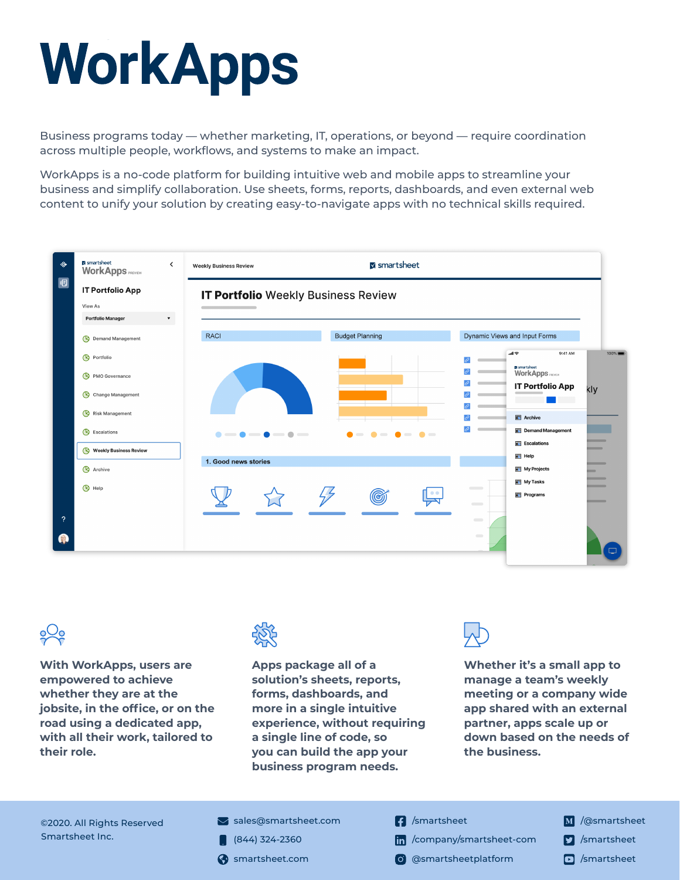# WorkApps

Business programs today — whether marketing, IT, operations, or beyond — require coordination across multiple people, workflows, and systems to make an impact.

WorkApps is a no-code platform for building intuitive web and mobile apps to streamline your business and simplify collaboration. Use sheets, forms, reports, dashboards, and even external web content to unify your solution by creating easy-to-navigate apps with no technical skills required.





**With WorkApps, users are empowered to achieve whether they are at the jobsite, in the office, or on the road using a dedicated app, with all their work, tailored to their role.**



**Apps package all of a solution's sheets, reports, forms, dashboards, and more in a single intuitive experience, without requiring a single line of code, so you can build the app your business program needs.** 



**Whether it's a small app to manage a team's weekly meeting or a company wide app shared with an external partner, apps scale up or down based on the needs of the business.**

©2020. All Rights Reserved Smartsheet Inc.

- $\blacktriangleright$  sales[@smartsheet.com](mailto:sales%40smartsheet.com?subject=)
- $(844)$  324-2360
- 
- **1** [/smartsheet](https://www.facebook.com/smartsheet)
- [/company/smartsheet-com](https://www.linkedin.com/company/smartsheet-com/)
- smartsheet.com (o) [@smartsheetplatform](https://www.instagram.com/smartsheetplatform/)
- M /[@smartsheet](https://medium.com/@Smartsheet)
- **7** [/smartsheet](https://twitter.com/Smartsheet)
-